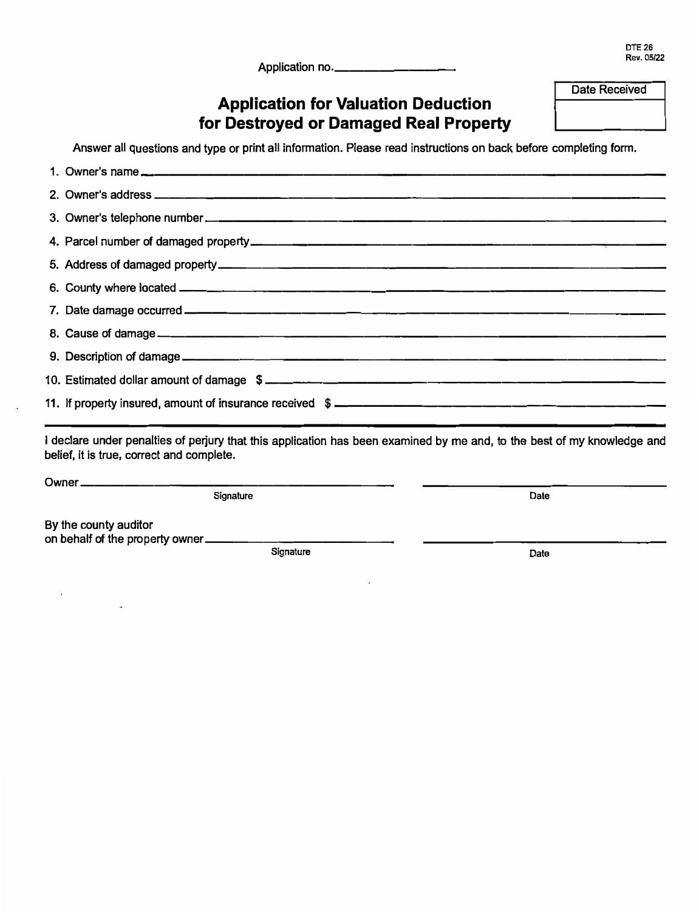Application no.\_\_\_

**Date Received** 

# **Application for Valuation Deduction for Destroyed or Damaged Real Property**

**Answer all questions and type or print all information. Please read instructions on back before completing form.** 

| 11. If property insured, amount of insurance received \$ _________________________                                                                                   |      |
|----------------------------------------------------------------------------------------------------------------------------------------------------------------------|------|
| l declare under penalties of perjury that this application has been examined by me and, to the best of my knowledge and<br>belief, it is true, correct and complete. |      |
|                                                                                                                                                                      |      |
| Signature                                                                                                                                                            | Date |

**By the county auditor** 

ö,

**on behalf of the property owner \_\_\_\_\_\_\_\_\_\_\_\_ \_** 

Signature **Date Date**